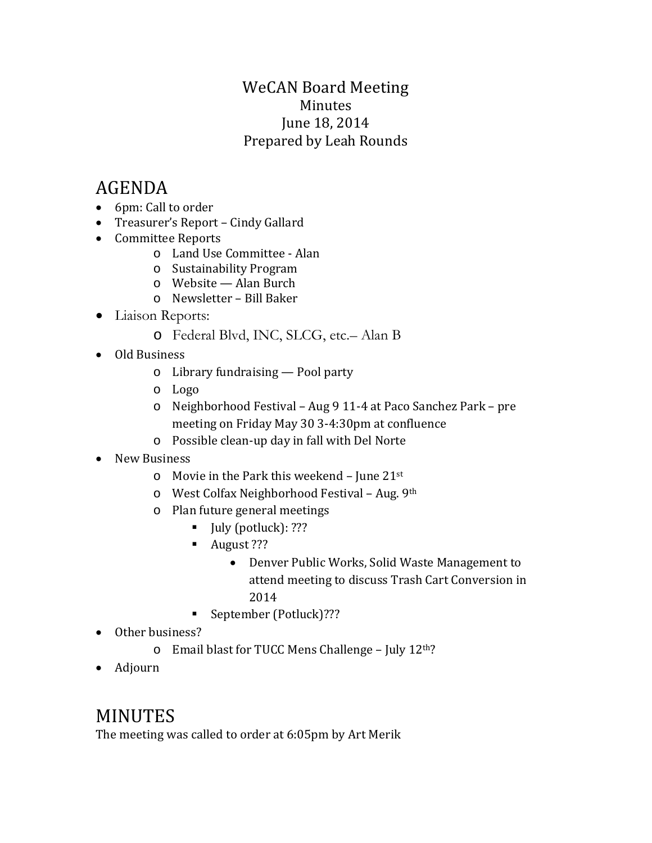## WeCAN Board Meeting Minutes June 18, 2014 Prepared by Leah Rounds

# AGENDA

- 6pm: Call to order
- Treasurer's Report Cindy Gallard
- Committee Reports
	- o Land Use Committee Alan
	- o Sustainability Program
	- o Website Alan Burch
	- o Newsletter Bill Baker
- Liaison Reports:
	- o Federal Blvd, INC, SLCG, etc.– Alan B
- Old Business
	- o Library fundraising Pool party
	- o Logo
	- o Neighborhood Festival Aug 9 11-4 at Paco Sanchez Park pre meeting on Friday May 30 3-4:30pm at confluence
	- o Possible clean-up day in fall with Del Norte
- New Business
	- $\circ$  Movie in the Park this weekend June 21st
	- o West Colfax Neighborhood Festival Aug. 9th
	- o Plan future general meetings
		- $\blacksquare$  July (potluck): ???
		- August ???
			- Denver Public Works, Solid Waste Management to attend meeting to discuss Trash Cart Conversion in 2014
		- September (Potluck)???
- Other business?
	- o Email blast for TUCC Mens Challenge July 12th?
- Adjourn

# MINUTES

The meeting was called to order at 6:05pm by Art Merik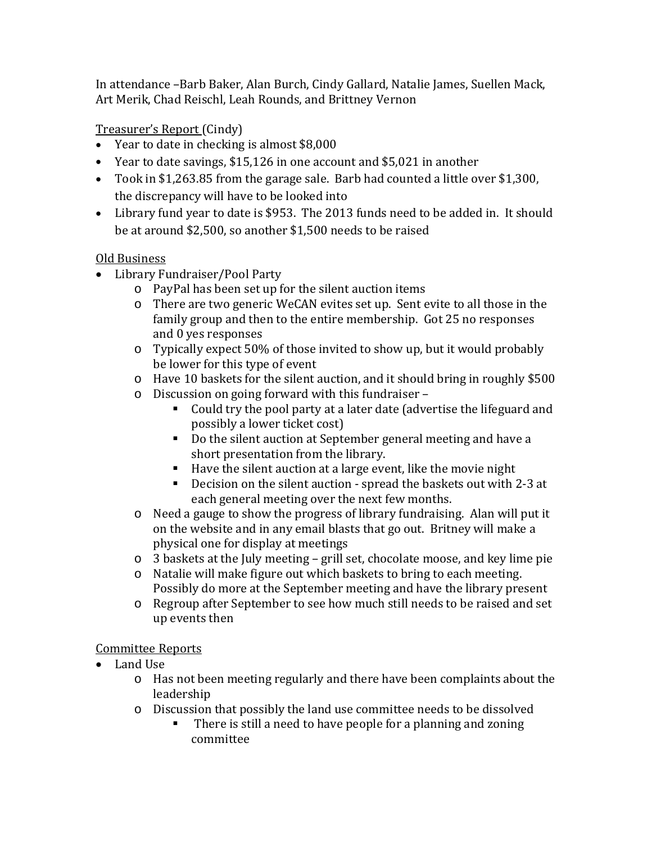In attendance –Barb Baker, Alan Burch, Cindy Gallard, Natalie James, Suellen Mack, Art Merik, Chad Reischl, Leah Rounds, and Brittney Vernon

## Treasurer's Report (Cindy)

- Year to date in checking is almost \$8,000
- Year to date savings, \$15,126 in one account and \$5,021 in another
- Took in \$1,263.85 from the garage sale. Barb had counted a little over \$1,300, the discrepancy will have to be looked into
- Library fund year to date is \$953. The 2013 funds need to be added in. It should be at around \$2,500, so another \$1,500 needs to be raised

#### Old Business

- Library Fundraiser/Pool Party
	- o PayPal has been set up for the silent auction items
	- o There are two generic WeCAN evites set up. Sent evite to all those in the family group and then to the entire membership. Got 25 no responses and 0 yes responses
	- o Typically expect 50% of those invited to show up, but it would probably be lower for this type of event
	- o Have 10 baskets for the silent auction, and it should bring in roughly \$500
	- o Discussion on going forward with this fundraiser
		- Could try the pool party at a later date (advertise the lifeguard and possibly a lower ticket cost)
		- Do the silent auction at September general meeting and have a short presentation from the library.
		- Have the silent auction at a large event, like the movie night
		- Decision on the silent auction spread the baskets out with 2-3 at each general meeting over the next few months.
	- o Need a gauge to show the progress of library fundraising. Alan will put it on the website and in any email blasts that go out. Britney will make a physical one for display at meetings
	- o 3 baskets at the July meeting grill set, chocolate moose, and key lime pie
	- o Natalie will make figure out which baskets to bring to each meeting. Possibly do more at the September meeting and have the library present
	- o Regroup after September to see how much still needs to be raised and set up events then

#### Committee Reports

- Land Use
	- o Has not been meeting regularly and there have been complaints about the leadership
	- o Discussion that possibly the land use committee needs to be dissolved
		- There is still a need to have people for a planning and zoning committee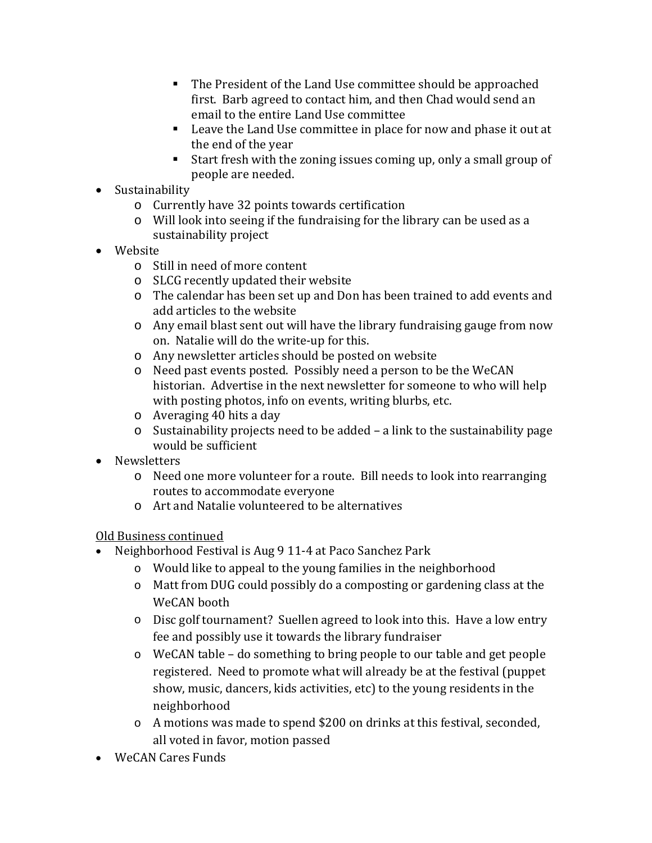- The President of the Land Use committee should be approached first. Barb agreed to contact him, and then Chad would send an email to the entire Land Use committee
- Leave the Land Use committee in place for now and phase it out at the end of the year
- Start fresh with the zoning issues coming up, only a small group of people are needed.
- Sustainability
	- o Currently have 32 points towards certification
	- o Will look into seeing if the fundraising for the library can be used as a sustainability project
- Website
	- o Still in need of more content
	- o SLCG recently updated their website
	- o The calendar has been set up and Don has been trained to add events and add articles to the website
	- o Any email blast sent out will have the library fundraising gauge from now on. Natalie will do the write-up for this.
	- o Any newsletter articles should be posted on website
	- o Need past events posted. Possibly need a person to be the WeCAN historian. Advertise in the next newsletter for someone to who will help with posting photos, info on events, writing blurbs, etc.
	- o Averaging 40 hits a day
	- o Sustainability projects need to be added a link to the sustainability page would be sufficient
- Newsletters
	- o Need one more volunteer for a route. Bill needs to look into rearranging routes to accommodate everyone
	- o Art and Natalie volunteered to be alternatives

#### Old Business continued

- Neighborhood Festival is Aug 9 11-4 at Paco Sanchez Park
	- o Would like to appeal to the young families in the neighborhood
	- o Matt from DUG could possibly do a composting or gardening class at the WeCAN booth
	- o Disc golf tournament? Suellen agreed to look into this. Have a low entry fee and possibly use it towards the library fundraiser
	- o WeCAN table do something to bring people to our table and get people registered. Need to promote what will already be at the festival (puppet show, music, dancers, kids activities, etc) to the young residents in the neighborhood
	- o A motions was made to spend \$200 on drinks at this festival, seconded, all voted in favor, motion passed
- WeCAN Cares Funds